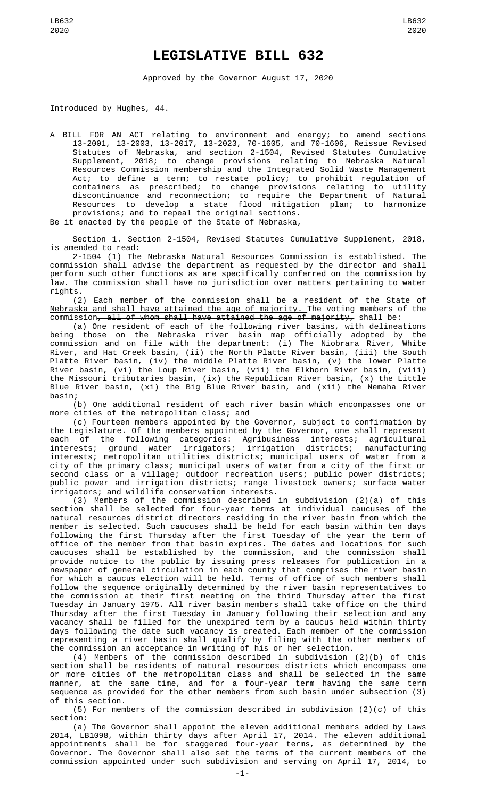## **LEGISLATIVE BILL 632**

Approved by the Governor August 17, 2020

Introduced by Hughes, 44.

A BILL FOR AN ACT relating to environment and energy; to amend sections 13-2001, 13-2003, 13-2017, 13-2023, 70-1605, and 70-1606, Reissue Revised Statutes of Nebraska, and section 2-1504, Revised Statutes Cumulative Supplement, 2018; to change provisions relating to Nebraska Natural Resources Commission membership and the Integrated Solid Waste Management Act; to define a term; to restate policy; to prohibit regulation of containers as prescribed; to change provisions relating to utility discontinuance and reconnection; to require the Department of Natural Resources to develop a state flood mitigation plan; to harmonize provisions; and to repeal the original sections. Be it enacted by the people of the State of Nebraska,

Section 1. Section 2-1504, Revised Statutes Cumulative Supplement, 2018, is amended to read:

2-1504 (1) The Nebraska Natural Resources Commission is established. The commission shall advise the department as requested by the director and shall perform such other functions as are specifically conferred on the commission by law. The commission shall have no jurisdiction over matters pertaining to water rights.

(2) Each member of the commission shall be a resident of the State of Nebraska and shall have attained the age of majority. The voting members of the commission<del>, all of whom shall have attained the age of majority,</del> shall be:

(a) One resident of each of the following river basins, with delineations being those on the Nebraska river basin map officially adopted by the commission and on file with the department: (i) The Niobrara River, White River, and Hat Creek basin, (ii) the North Platte River basin, (iii) the South Platte River basin, (iv) the middle Platte River basin, (v) the lower Platte River basin, (vi) the Loup River basin, (vii) the Elkhorn River basin, (viii) the Missouri tributaries basin, (ix) the Republican River basin, (x) the Little Blue River basin, (xi) the Big Blue River basin, and (xii) the Nemaha River basin;

(b) One additional resident of each river basin which encompasses one or more cities of the metropolitan class; and

(c) Fourteen members appointed by the Governor, subject to confirmation by the Legislature. Of the members appointed by the Governor, one shall represent each of the following categories: Agribusiness interests; agricultural interests; ground water irrigators; irrigation districts; manufacturing interests; metropolitan utilities districts; municipal users of water from a city of the primary class; municipal users of water from a city of the first or second class or a village; outdoor recreation users; public power districts; public power and irrigation districts; range livestock owners; surface water irrigators; and wildlife conservation interests.

(3) Members of the commission described in subdivision (2)(a) of this section shall be selected for four-year terms at individual caucuses of the natural resources district directors residing in the river basin from which the member is selected. Such caucuses shall be held for each basin within ten days following the first Thursday after the first Tuesday of the year the term of office of the member from that basin expires. The dates and locations for such caucuses shall be established by the commission, and the commission shall provide notice to the public by issuing press releases for publication in a newspaper of general circulation in each county that comprises the river basin for which a caucus election will be held. Terms of office of such members shall follow the sequence originally determined by the river basin representatives to the commission at their first meeting on the third Thursday after the first Tuesday in January 1975. All river basin members shall take office on the third Thursday after the first Tuesday in January following their selection and any vacancy shall be filled for the unexpired term by a caucus held within thirty days following the date such vacancy is created. Each member of the commission representing a river basin shall qualify by filing with the other members of the commission an acceptance in writing of his or her selection.

(4) Members of the commission described in subdivision (2)(b) of this section shall be residents of natural resources districts which encompass one or more cities of the metropolitan class and shall be selected in the same manner, at the same time, and for a four-year term having the same term sequence as provided for the other members from such basin under subsection (3) of this section.

(5) For members of the commission described in subdivision (2)(c) of this section:

(a) The Governor shall appoint the eleven additional members added by Laws 2014, LB1098, within thirty days after April 17, 2014. The eleven additional appointments shall be for staggered four-year terms, as determined by the Governor. The Governor shall also set the terms of the current members of the commission appointed under such subdivision and serving on April 17, 2014, to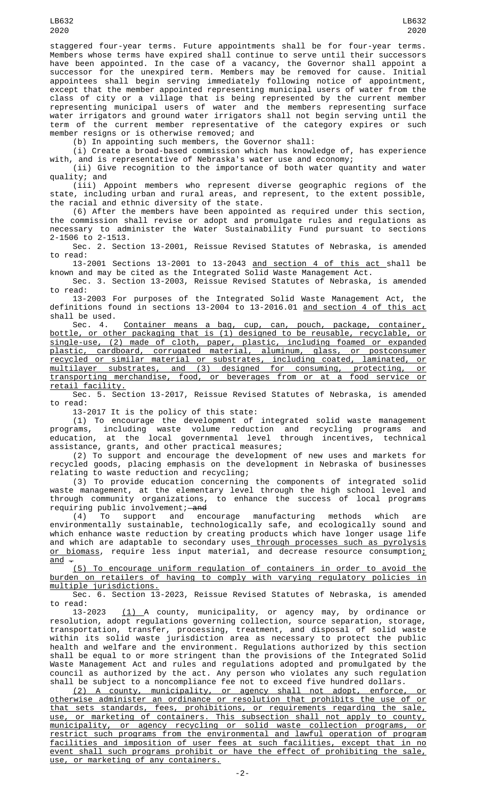staggered four-year terms. Future appointments shall be for four-year terms. Members whose terms have expired shall continue to serve until their successors have been appointed. In the case of a vacancy, the Governor shall appoint a successor for the unexpired term. Members may be removed for cause. Initial appointees shall begin serving immediately following notice of appointment, except that the member appointed representing municipal users of water from the class of city or a village that is being represented by the current member representing municipal users of water and the members representing surface water irrigators and ground water irrigators shall not begin serving until the term of the current member representative of the category expires or such member resigns or is otherwise removed; and

(b) In appointing such members, the Governor shall:

(i) Create a broad-based commission which has knowledge of, has experience with, and is representative of Nebraska's water use and economy;

(ii) Give recognition to the importance of both water quantity and water quality; and

(iii) Appoint members who represent diverse geographic regions of the state, including urban and rural areas, and represent, to the extent possible, the racial and ethnic diversity of the state.

(6) After the members have been appointed as required under this section, the commission shall revise or adopt and promulgate rules and regulations as necessary to administer the Water Sustainability Fund pursuant to sections 2-1506 to 2-1513.

Sec. 2. Section 13-2001, Reissue Revised Statutes of Nebraska, is amended to read:

13-2001 Sections 13-2001 to 13-2043 <u>and section 4 of this act </u>shall be known and may be cited as the Integrated Solid Waste Management Act.

Sec. 3. Section 13-2003, Reissue Revised Statutes of Nebraska, is amended to read:

13-2003 For purposes of the Integrated Solid Waste Management Act, the definitions found in sections 13-2004 to 13-2016.01 and section 4 of this act shall be used.

Sec. 4. Container means a bag, cup, can, pouch, package, container, bottle, or other packaging that is (1) designed to be reusable, recyclable, or single-use, (2) made of cloth, paper, plastic, including foamed or expanded<br>plastic, cardboard, corrugated material, aluminum, glass, or postconsumer plastic, cardboard, corrugated material, aluminum, glass, or recycled or similar material or substrates, including coated, laminated, or multilayer substrates, and (3) designed for consuming, protecting, or transporting merchandise, food, or beverages from or at a food service or retail facility.

Sec. 5. Section 13-2017, Reissue Revised Statutes of Nebraska, is amended to read:

13-2017 It is the policy of this state:

(1) To encourage the development of integrated solid waste management programs, including waste volume reduction and recycling programs and education, at the local governmental level through incentives, technical assistance, grants, and other practical measures;

(2) To support and encourage the development of new uses and markets for recycled goods, placing emphasis on the development in Nebraska of businesses relating to waste reduction and recycling;

(3) To provide education concerning the components of integrated solid waste management, at the elementary level through the high school level and through community organizations, to enhance the success of local programs requiring public involvement;—a<del>nd</del><br>(4) To support and encourage

(4) To support and encourage manufacturing methods which are environmentally sustainable, technologically safe, and ecologically sound and which enhance waste reduction by creating products which have longer usage life and which are adaptable to secondary uses<u> through processes such as pyrolysis</u> <u>or biomass</u>, require less input material, and decrease resource consumption<u>;</u>  $\frac{1}{\text{and}}$   $\frac{1}{\text{at}}$ 

(5) To encourage uniform regulation of containers in order to avoid the burden on retailers of having to comply with varying regulatory policies in multiple jurisdictions.

Sec. 6. Section 13-2023, Reissue Revised Statutes of Nebraska, is amended to read:

13-2023 <u>(1) </u>A county, municipality, or agency may, by ordinance or resolution, adopt regulations governing collection, source separation, storage, transportation, transfer, processing, treatment, and disposal of solid waste within its solid waste jurisdiction area as necessary to protect the public health and welfare and the environment. Regulations authorized by this section shall be equal to or more stringent than the provisions of the Integrated Solid Waste Management Act and rules and regulations adopted and promulgated by the council as authorized by the act. Any person who violates any such regulation shall be subject to a noncompliance fee not to exceed five hundred dollars.

(2) A county, municipality, or agency shall not adopt, enforce, or otherwise administer an ordinance or resolution that prohibits the use of or that sets standards, fees, prohibitions, or requirements regarding the sale, use, or marketing of containers. This subsection shall not apply to county, municipality, or agency recycling or solid waste collection programs, or restrict such programs from the environmental and lawful operation of program facilities and imposition of user fees at such facilities, except that in no event shall such programs prohibit or have the effect of prohibiting the sale, use, or marketing of any containers.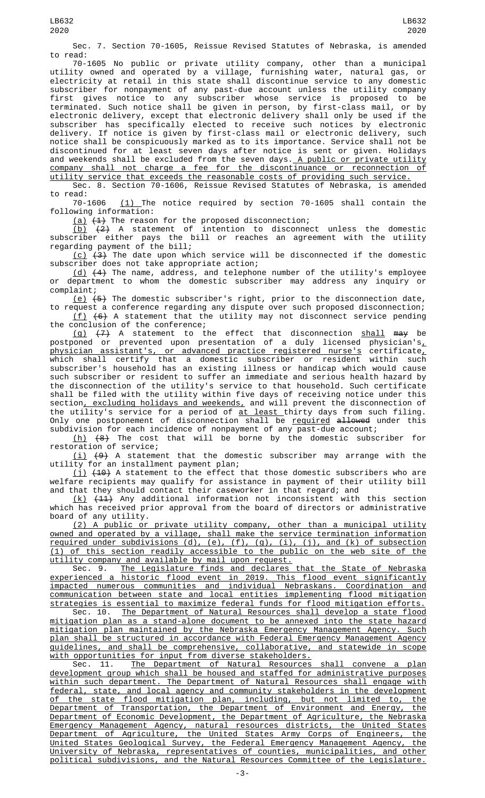Sec. 7. Section 70-1605, Reissue Revised Statutes of Nebraska, is amended to read:

70-1605 No public or private utility company, other than a municipal utility owned and operated by a village, furnishing water, natural gas, or electricity at retail in this state shall discontinue service to any domestic subscriber for nonpayment of any past-due account unless the utility company first gives notice to any subscriber whose service is proposed to be terminated. Such notice shall be given in person, by first-class mail, or by electronic delivery, except that electronic delivery shall only be used if the subscriber has specifically elected to receive such notices by electronic delivery. If notice is given by first-class mail or electronic delivery, such notice shall be conspicuously marked as to its importance. Service shall not be discontinued for at least seven days after notice is sent or given. Holidays and weekends shall be excluded from the seven days.<u> A public or private utility</u> company shall not charge a fee for the discontinuance or reconnection of utility service that exceeds the reasonable costs of providing such service.

Sec. 8. Section 70-1606, Reissue Revised Statutes of Nebraska, is amended to read:<br>70-1606

(1) The notice required by section 70-1605 shall contain the following information:

(a)  $(1)$  The reason for the proposed disconnection;

<u>(b)</u>  $\{2\}$  A statement of intention to disconnect unless the domestic subscriber either pays the bill or reaches an agreement with the utility regarding payment of the bill;

 $(c)$   $(3)$  The date upon which service will be disconnected if the domestic subscriber does not take appropriate action;

(d) (4) The name, address, and telephone number of the utility's employee or department to whom the domestic subscriber may address any inquiry or complaint;

<u>(e)</u>  $(5)$  The domestic subscriber's right, prior to the disconnection date,

to request a conference regarding any dispute over such proposed disconnection;  $(f)$   $(6)$  A statement that the utility may not disconnect service pending the conclusion of the conference;

<u>(g)</u> <del>(7)</del> A statement to the effect that disconnection <u>shall</u> <del>may</del> be postponed or prevented upon presentation of a duly licensed physician's $_{\rm \star}$ physician assistant's, or advanced practice registered nurse's certificate, which shall certify that a domestic subscriber or resident within such subscriber's household has an existing illness or handicap which would cause such subscriber or resident to suffer an immediate and serious health hazard by the disconnection of the utility's service to that household. Such certificate shall be filed with the utility within five days of receiving notice under this section, excluding holidays and weekends, and will prevent the disconnection of the utility's service for a period of <u>at least thirty days from such filing</u>. Only one postponement of disconnection shall be <u>required</u> <del>allowed</del> under this subdivision for each incidence of nonpayment of any past-due account;

(h) (8) The cost that will be borne by the domestic subscriber for restoration of service;

 $(i)$   $(9)$  A statement that the domestic subscriber may arrange with the utility for an installment payment plan;

(j) <del>(10)</del> A statement to the effect that those domestic subscribers who are welfare recipients may qualify for assistance in payment of their utility bill and that they should contact their caseworker in that regard; and

(k) (11) Any additional information not inconsistent with this section which has received prior approval from the board of directors or administrative board of any utility.

(2) A public or private utility company, other than a municipal utility owned and operated by a village, shall make the service termination information required under subdivisions (d), (e), (f), (g), (i), (j), and (k) of subsection (1) of this section readily accessible to the public on the web site of the utility company and available by mail upon request.

Sec. 9. The Legislature finds and declares that the State of Nebraska experienced a historic flood event in 2019. This flood event significantly impacted numerous communities and individual Nebraskans. Coordination and communication between state and local entities implementing flood mitigation strategies is essential to maximize federal funds for flood mitigation efforts.

Sec. 10. The Department of Natural Resources shall develop a state flood mitigation plan as a stand-alone document to be annexed into the state hazard mitigation plan maintained by the Nebraska Emergency Management Agency. Such plan shall be structured in accordance with Federal Emergency Management Agency guidelines, and shall be comprehensive, collaborative, and statewide in scope with opportunities for input from diverse stakeholders.

Sec. 11. The Department of Natural Resources shall convene a plan development group which shall be housed and staffed for administrative purposes within such department. The Department of Natural Resources shall engage with federal, state, and local agency and community stakeholders in the development of the state flood mitigation plan, including, but not limited to, the Department of Transportation, the Department of Environment and Energy, the Department of Economic Development, the Department of Agriculture, the Nebraska Emergency Management Agency, natural resources districts, the United States<br>Department of Agriculture, the United States Armv Corps of Engineers. the Department of Agriculture, the United States Army Corps of Engineers, the United States Geological Survey, the Federal Emergency Management Agency, the University of Nebraska, representatives of counties, municipalities, and other political subdivisions, and the Natural Resources Committee of the Legislature.